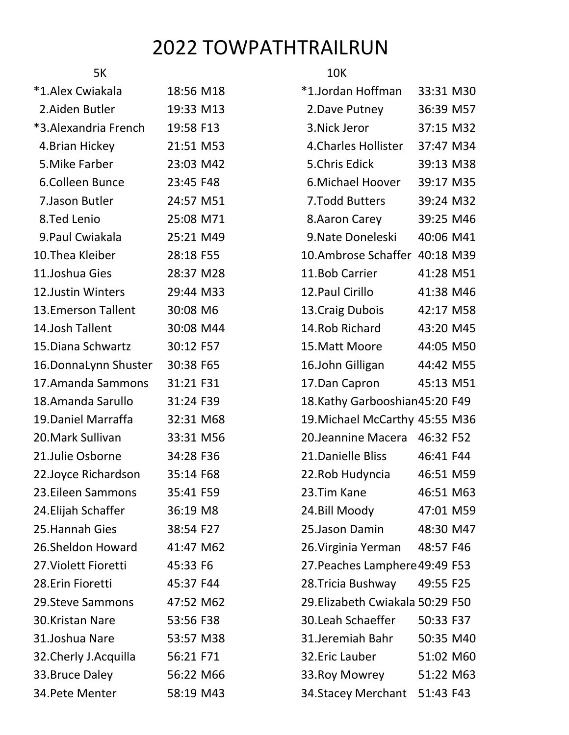## 2022 TOWPATHTRAILRUN

| 5K                      |           | <b>10K</b>                       |           |  |
|-------------------------|-----------|----------------------------------|-----------|--|
| *1.Alex Cwiakala        | 18:56 M18 | *1.Jordan Hoffman                | 33:31 M30 |  |
| 2. Aiden Butler         | 19:33 M13 | 2. Dave Putney                   | 36:39 M57 |  |
| *3.Alexandria French    | 19:58 F13 | 3. Nick Jeror                    | 37:15 M32 |  |
| 4. Brian Hickey         | 21:51 M53 | 4. Charles Hollister             | 37:47 M34 |  |
| 5. Mike Farber          | 23:03 M42 | 5.Chris Edick                    | 39:13 M38 |  |
| 6.Colleen Bunce         | 23:45 F48 | 6. Michael Hoover                | 39:17 M35 |  |
| 7. Jason Butler         | 24:57 M51 | 7. Todd Butters                  | 39:24 M32 |  |
| 8.Ted Lenio             | 25:08 M71 | 8. Aaron Carey                   | 39:25 M46 |  |
| 9. Paul Cwiakala        | 25:21 M49 | 9. Nate Doneleski                | 40:06 M41 |  |
| 10.Thea Kleiber         | 28:18 F55 | 10.Ambrose Schaffer 40:18 M39    |           |  |
| 11.Joshua Gies          | 28:37 M28 | 11.Bob Carrier                   | 41:28 M51 |  |
| 12.Justin Winters       | 29:44 M33 | 12. Paul Cirillo                 | 41:38 M46 |  |
| 13. Emerson Tallent     | 30:08 M6  | 13. Craig Dubois                 | 42:17 M58 |  |
| 14.Josh Tallent         | 30:08 M44 | 14. Rob Richard                  | 43:20 M45 |  |
| 15. Diana Schwartz      | 30:12 F57 | 15. Matt Moore                   | 44:05 M50 |  |
| 16.DonnaLynn Shuster    | 30:38 F65 | 16.John Gilligan                 | 44:42 M55 |  |
| 17.Amanda Sammons       | 31:21 F31 | 17.Dan Capron                    | 45:13 M51 |  |
| 18.Amanda Sarullo       | 31:24 F39 | 18.Kathy Garbooshian45:20 F49    |           |  |
| 19. Daniel Marraffa     | 32:31 M68 | 19. Michael McCarthy 45:55 M36   |           |  |
| 20.Mark Sullivan        | 33:31 M56 | 20. Jeannine Macera 46:32 F52    |           |  |
| 21.Julie Osborne        | 34:28 F36 | 21. Danielle Bliss               | 46:41 F44 |  |
| 22.Joyce Richardson     | 35:14 F68 | 22. Rob Hudyncia                 | 46:51 M59 |  |
| 23.Eileen Sammons       | 35:41 F59 | 23. Tim Kane                     | 46:51 M63 |  |
| 24. Elijah Schaffer     | 36:19 M8  | 24.Bill Moody                    | 47:01 M59 |  |
| 25.Hannah Gies          | 38:54 F27 | 25. Jason Damin                  | 48:30 M47 |  |
| 26.Sheldon Howard       | 41:47 M62 | 26. Virginia Yerman              | 48:57 F46 |  |
| 27. Violett Fioretti    | 45:33 F6  | 27. Peaches Lamphere 49:49 F53   |           |  |
| 28.Erin Fioretti        | 45:37 F44 | 28. Tricia Bushway               | 49:55 F25 |  |
| <b>29.Steve Sammons</b> | 47:52 M62 | 29. Elizabeth Cwiakala 50:29 F50 |           |  |
| 30.Kristan Nare         | 53:56 F38 | 30. Leah Schaeffer               | 50:33 F37 |  |
| 31.Joshua Nare          | 53:57 M38 | 31.Jeremiah Bahr                 | 50:35 M40 |  |
| 32. Cherly J. Acquilla  | 56:21 F71 | 32. Eric Lauber                  | 51:02 M60 |  |
| 33.Bruce Daley          | 56:22 M66 | 33. Roy Mowrey                   | 51:22 M63 |  |
| 34. Pete Menter         | 58:19 M43 | 34. Stacey Merchant 51:43 F43    |           |  |
|                         |           |                                  |           |  |

| *1.Jordan Hoffman                | 33:31 M30 |  |
|----------------------------------|-----------|--|
| 2. Dave Putney                   | 36:39 M57 |  |
| 3. Nick Jeror                    | 37:15 M32 |  |
| 4. Charles Hollister             | 37:47 M34 |  |
| 5.Chris Edick                    | 39:13 M38 |  |
| 6. Michael Hoover                | 39:17 M35 |  |
| 7. Todd Butters                  | 39:24 M32 |  |
| 8.Aaron Carey                    | 39:25 M46 |  |
| 9. Nate Doneleski                | 40:06 M41 |  |
| 10.Ambrose Schaffer 40:18 M39    |           |  |
| 11.Bob Carrier                   | 41:28 M51 |  |
| 12. Paul Cirillo                 | 41:38 M46 |  |
| 13. Craig Dubois                 | 42:17 M58 |  |
| 14. Rob Richard                  | 43:20 M45 |  |
| 15. Matt Moore                   | 44:05 M50 |  |
| 16.John Gilligan                 | 44:42 M55 |  |
| 17.Dan Capron                    | 45:13 M51 |  |
| 18.Kathy Garbooshian45:20 F49    |           |  |
| 19. Michael McCarthy 45:55 M36   |           |  |
| 20. Jeannine Macera 46:32 F52    |           |  |
| 21. Danielle Bliss               | 46:41 F44 |  |
| 22. Rob Hudyncia                 | 46:51 M59 |  |
| 23.Tim Kane                      | 46:51 M63 |  |
| 24. Bill Moody                   | 47:01 M59 |  |
| 25.Jason Damin                   | 48:30 M47 |  |
| 26. Virginia Yerman 48:57 F46    |           |  |
| 27. Peaches Lamphere 49:49 F53   |           |  |
| 28.Tricia Bushway                | 49:55 F25 |  |
| 29. Elizabeth Cwiakala 50:29 F50 |           |  |
| 30.Leah Schaeffer                | 50:33 F37 |  |
| 31.Jeremiah Bahr                 | 50:35 M40 |  |
| 32.Eric Lauber                   | 51:02 M60 |  |
| 33. Roy Mowrey                   | 51:22 M63 |  |
| 34. Stacey Merchant 51:43 F43    |           |  |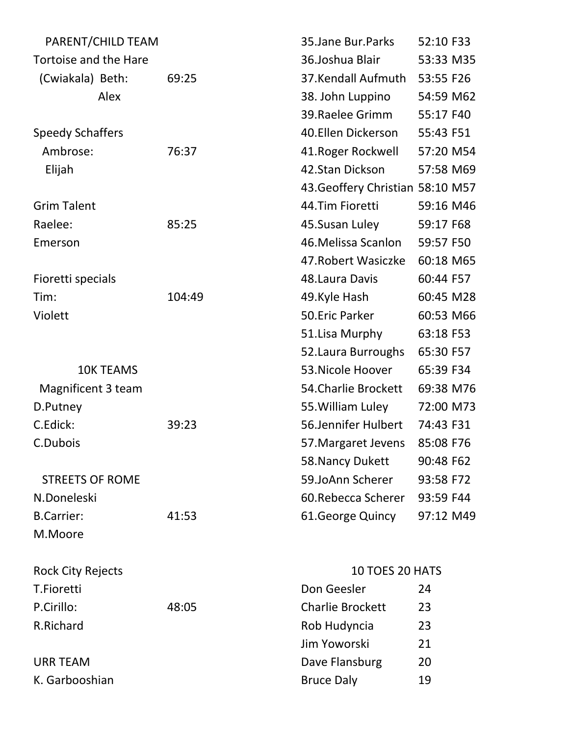| PARENT/CHILD TEAM        |        | 35. Jane Bur. Parks              | 52:10 F33 |
|--------------------------|--------|----------------------------------|-----------|
| Tortoise and the Hare    |        | 36.Joshua Blair                  | 53:33 M35 |
| (Cwiakala) Beth:         | 69:25  | 37.Kendall Aufmuth               | 53:55 F26 |
| Alex                     |        | 38. John Luppino                 | 54:59 M62 |
|                          |        | 39. Raelee Grimm                 | 55:17 F40 |
| <b>Speedy Schaffers</b>  |        | 40.Ellen Dickerson               | 55:43 F51 |
| Ambrose:                 | 76:37  | 41. Roger Rockwell               | 57:20 M54 |
| Elijah                   |        | 42.Stan Dickson                  | 57:58 M69 |
|                          |        | 43. Geoffery Christian 58:10 M57 |           |
| <b>Grim Talent</b>       |        | 44.Tim Fioretti                  | 59:16 M46 |
| Raelee:                  | 85:25  | 45.Susan Luley                   | 59:17 F68 |
| Emerson                  |        | 46. Melissa Scanlon              | 59:57 F50 |
|                          |        | 47. Robert Wasiczke              | 60:18 M65 |
| Fioretti specials        |        | 48. Laura Davis                  | 60:44 F57 |
| Tim:                     | 104:49 | 49.Kyle Hash                     | 60:45 M28 |
| Violett                  |        | 50.Eric Parker                   | 60:53 M66 |
|                          |        | 51.Lisa Murphy                   | 63:18 F53 |
|                          |        | 52. Laura Burroughs              | 65:30 F57 |
| <b>10K TEAMS</b>         |        | 53. Nicole Hoover                | 65:39 F34 |
| Magnificent 3 team       |        | 54. Charlie Brockett             | 69:38 M76 |
| D.Putney                 |        | 55. William Luley                | 72:00 M73 |
| C.Edick:                 | 39:23  | 56.Jennifer Hulbert              | 74:43 F31 |
| C.Dubois                 |        | 57. Margaret Jevens              | 85:08 F76 |
|                          |        | 58. Nancy Dukett                 | 90:48 F62 |
| <b>STREETS OF ROME</b>   |        | 59.JoAnn Scherer                 | 93:58 F72 |
| N.Doneleski              |        | 60. Rebecca Scherer              | 93:59 F44 |
| <b>B.Carrier:</b>        | 41:53  | 61. George Quincy                | 97:12 M49 |
| M.Moore                  |        |                                  |           |
| <b>Rock City Rejects</b> |        | <b>10 TOES 20 HATS</b>           |           |
| T.Fioretti               |        | Don Geesler                      | 24        |
| P.Cirillo:               | 48:05  | <b>Charlie Brockett</b>          | 23        |
| R.Richard                |        | Rob Hudyncia                     | 23        |
|                          |        | Jim Yoworski                     | 21        |
| <b>URR TEAM</b>          |        | Dave Flansburg                   | 20        |
| K. Garbooshian           |        | <b>Bruce Daly</b>                | 19        |